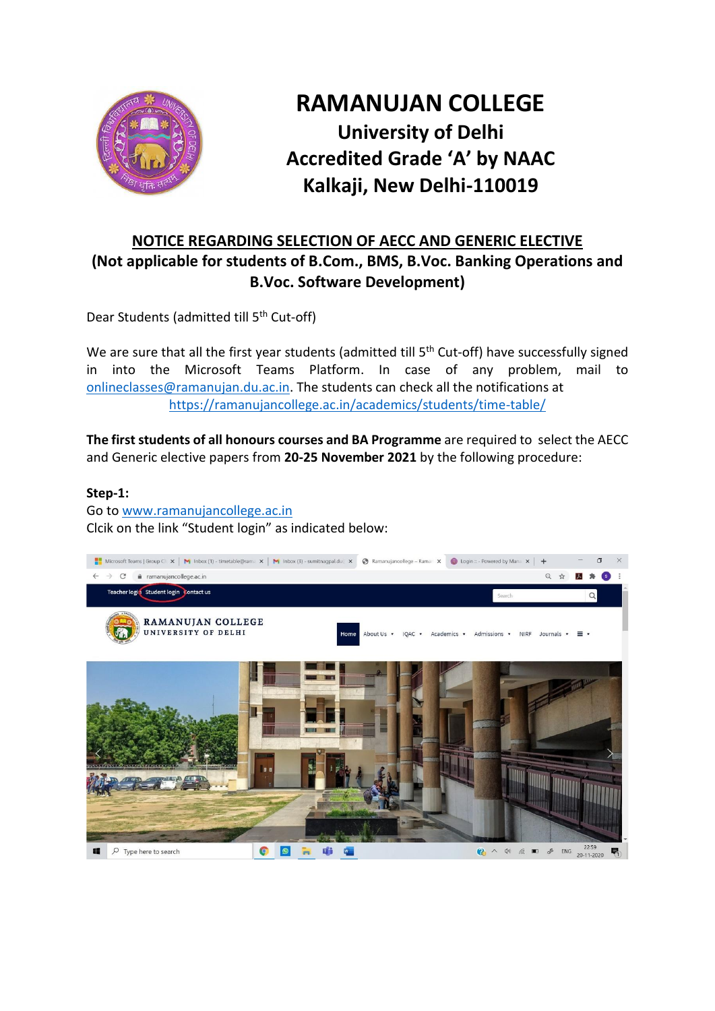

# **RAMANUJAN COLLEGE University of Delhi Accredited Grade 'A' by NAAC Kalkaji, New Delhi-110019**

# **NOTICE REGARDING SELECTION OF AECC AND GENERIC ELECTIVE (Not applicable for students of B.Com., BMS, B.Voc. Banking Operations and B.Voc. Software Development)**

Dear Students (admitted till 5th Cut-off)

We are sure that all the first year students (admitted till 5<sup>th</sup> Cut-off) have successfully signed in into the Microsoft Teams Platform. In case of any problem, mail to [onlineclasses@ramanujan.du.ac.in.](mailto:onlineclasses@ramanujan.du.ac.in) The students can check all the notifications at <https://ramanujancollege.ac.in/academics/students/time-table/>

**The first students of all honours courses and BA Programme** are required to select the AECC and Generic elective papers from **20-25 November 2021** by the following procedure:

#### **Step-1:**

Go t[o www.ramanujancollege.ac.in](http://www.ramanujancollege.ac.in/) Clcik on the link "Student login" as indicated below:

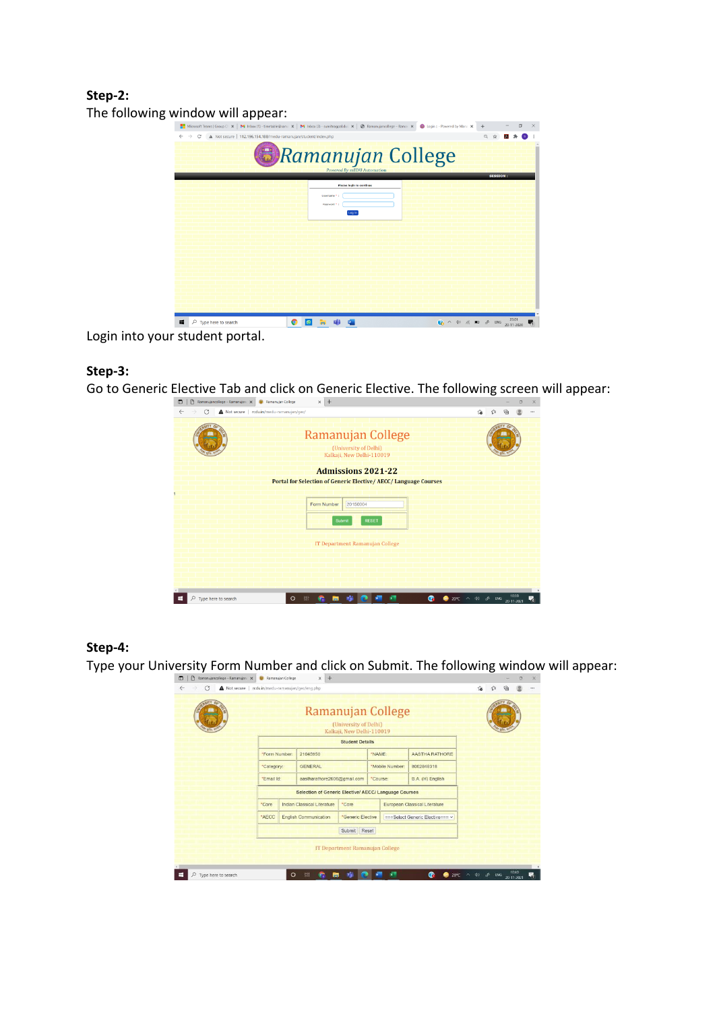## **Step-2:**



Login into your student portal.

#### **Step-3:**

Go to Generic Elective Tab and click on Generic Elective. The following screen will appear:

| $\times$ +<br>Ramanujancollege - Ramanujanc X<br><b>B</b> Ramanujan College<br>$\Box$<br>$\Gamma$ |    |              |                     | $\Box$ | $\times$ |
|---------------------------------------------------------------------------------------------------|----|--------------|---------------------|--------|----------|
| G<br>Not secure   rcdu.in/medu-ramanujan/gec/<br>$\leftarrow$                                     | îο |              |                     |        |          |
| Ramanujan College<br>(University of Delhi)<br>Kalkaji, New Delhi-110019                           |    |              |                     |        |          |
| <b>Admissions 2021-22</b>                                                                         |    |              |                     |        |          |
| <b>Portal for Selection of Generic Elective/ AECC/ Language Courses</b>                           |    |              |                     |        |          |
| 20150004<br>Form Number<br><b>RESET</b><br>Submit<br>IT Department Ramanujan College              |    |              |                     |        |          |
| $\leq$<br>൚<br>$\circ$<br>$\wedge$ do<br>박<br>Type here to search<br>20°C                         |    | $\delta$ ENG | 10:39<br>20-11-2021 |        |          |

#### **Step-4:**

Type your University Form Number and click on Submit. The following window will appear:

| <b>TIP.</b>              |                           | Ramanujan College<br>(University of Delhi)<br>Kalkaji, New Delhi-110019 |                             |                                 |                             |                               |                                  |  | <b>CITY</b> |  |
|--------------------------|---------------------------|-------------------------------------------------------------------------|-----------------------------|---------------------------------|-----------------------------|-------------------------------|----------------------------------|--|-------------|--|
|                          |                           |                                                                         |                             | <b>Student Details</b>          |                             |                               |                                  |  |             |  |
|                          | "Form Number:<br>21045950 |                                                                         |                             | "NAME:                          |                             |                               | AASTHA RATHORE                   |  |             |  |
| "Category:<br>"Email Id: |                           |                                                                         | <b>GENERAL</b>              |                                 | *Mobile Number:<br>*Course: |                               | 8002848318                       |  |             |  |
|                          |                           |                                                                         | aastharathore2606@gmail.com |                                 |                             |                               | B.A. (H) English                 |  |             |  |
|                          |                           | <b>Selection of Generic Elective/ AECC/ Language Courses</b>            |                             |                                 |                             |                               |                                  |  |             |  |
|                          | *Core                     |                                                                         | Indian Classical Literature | *Core                           |                             | European Classical Literature |                                  |  |             |  |
|                          | *AECC                     | <b>English Communication</b>                                            |                             |                                 | *Generic Elective           |                               | === Select Generic Elective=== v |  |             |  |
|                          |                           |                                                                         |                             | Submit Reset                    |                             |                               |                                  |  |             |  |
|                          |                           |                                                                         |                             | IT Department Ramanujan College |                             |                               |                                  |  |             |  |